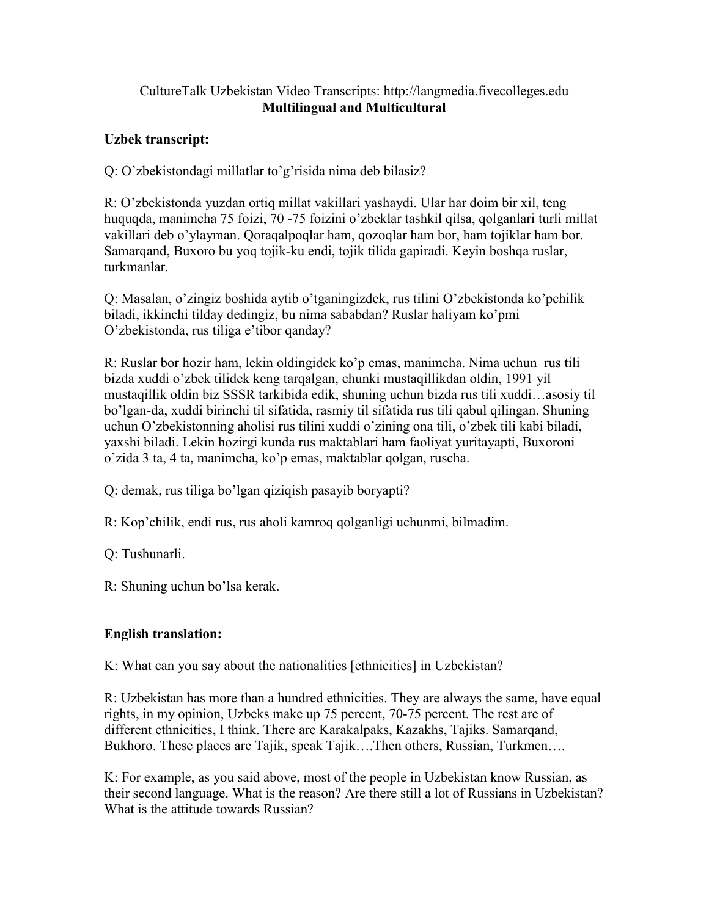## CultureTalk Uzbekistan Video Transcripts: http://langmedia.fivecolleges.edu Multilingual and Multicultural

## Uzbek transcript:

Q: O'zbekistondagi millatlar to'g'risida nima deb bilasiz?

R: O'zbekistonda yuzdan ortiq millat vakillari yashaydi. Ular har doim bir xil, teng huquqda, manimcha 75 foizi, 70 -75 foizini o'zbeklar tashkil qilsa, qolganlari turli millat vakillari deb o'ylayman. Qoraqalpoqlar ham, qozoqlar ham bor, ham tojiklar ham bor. Samarqand, Buxoro bu yoq tojik-ku endi, tojik tilida gapiradi. Keyin boshqa ruslar, turkmanlar.

Q: Masalan, o'zingiz boshida aytib o'tganingizdek, rus tilini O'zbekistonda ko'pchilik biladi, ikkinchi tilday dedingiz, bu nima sababdan? Ruslar haliyam ko'pmi O'zbekistonda, rus tiliga e'tibor qanday?

R: Ruslar bor hozir ham, lekin oldingidek ko'p emas, manimcha. Nima uchun rus tili bizda xuddi o'zbek tilidek keng tarqalgan, chunki mustaqillikdan oldin, 1991 yil mustaqillik oldin biz SSSR tarkibida edik, shuning uchun bizda rus tili xuddi…asosiy til bo'lgan-da, xuddi birinchi til sifatida, rasmiy til sifatida rus tili qabul qilingan. Shuning uchun O'zbekistonning aholisi rus tilini xuddi o'zining ona tili, o'zbek tili kabi biladi, yaxshi biladi. Lekin hozirgi kunda rus maktablari ham faoliyat yuritayapti, Buxoroni o'zida 3 ta, 4 ta, manimcha, ko'p emas, maktablar qolgan, ruscha.

- Q: demak, rus tiliga bo'lgan qiziqish pasayib boryapti?
- R: Kop'chilik, endi rus, rus aholi kamroq qolganligi uchunmi, bilmadim.

Q: Tushunarli.

R: Shuning uchun bo'lsa kerak.

## English translation:

K: What can you say about the nationalities [ethnicities] in Uzbekistan?

R: Uzbekistan has more than a hundred ethnicities. They are always the same, have equal rights, in my opinion, Uzbeks make up 75 percent, 70-75 percent. The rest are of different ethnicities, I think. There are Karakalpaks, Kazakhs, Tajiks. Samarqand, Bukhoro. These places are Tajik, speak Tajik….Then others, Russian, Turkmen….

K: For example, as you said above, most of the people in Uzbekistan know Russian, as their second language. What is the reason? Are there still a lot of Russians in Uzbekistan? What is the attitude towards Russian?